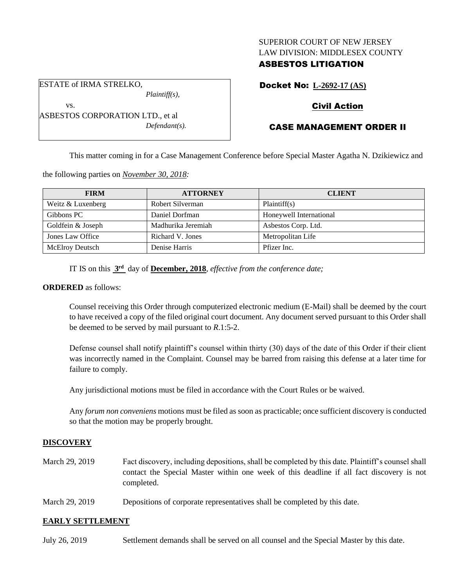## SUPERIOR COURT OF NEW JERSEY LAW DIVISION: MIDDLESEX COUNTY

# ASBESTOS LITIGATION

Docket No: **L-2692-17 (AS)**

# Civil Action

# CASE MANAGEMENT ORDER II

This matter coming in for a Case Management Conference before Special Master Agatha N. Dzikiewicz and

the following parties on *November 30, 2018:*

| <b>FIRM</b>            | <b>ATTORNEY</b>    | <b>CLIENT</b>           |
|------------------------|--------------------|-------------------------|
| Weitz & Luxenberg      | Robert Silverman   | Plaintiff(s)            |
| Gibbons PC             | Daniel Dorfman     | Honeywell International |
| Goldfein & Joseph      | Madhurika Jeremiah | Asbestos Corp. Ltd.     |
| Jones Law Office       | Richard V. Jones   | Metropolitan Life       |
| <b>McElroy Deutsch</b> | Denise Harris      | Pfizer Inc.             |

IT IS on this **3 rd** day of **December, 2018**, *effective from the conference date;*

*Defendant(s).*

### **ORDERED** as follows:

Counsel receiving this Order through computerized electronic medium (E-Mail) shall be deemed by the court to have received a copy of the filed original court document. Any document served pursuant to this Order shall be deemed to be served by mail pursuant to *R*.1:5-2.

Defense counsel shall notify plaintiff's counsel within thirty (30) days of the date of this Order if their client was incorrectly named in the Complaint. Counsel may be barred from raising this defense at a later time for failure to comply.

Any jurisdictional motions must be filed in accordance with the Court Rules or be waived.

Any *forum non conveniens* motions must be filed as soon as practicable; once sufficient discovery is conducted so that the motion may be properly brought.

## **DISCOVERY**

- March 29, 2019 Fact discovery, including depositions, shall be completed by this date. Plaintiff's counsel shall contact the Special Master within one week of this deadline if all fact discovery is not completed.
- March 29, 2019 Depositions of corporate representatives shall be completed by this date.

### **EARLY SETTLEMENT**

| July 26, 2019 | Settlement demands shall be served on all counsel and the Special Master by this date. |
|---------------|----------------------------------------------------------------------------------------|
|---------------|----------------------------------------------------------------------------------------|

*Plaintiff(s),* vs. ASBESTOS CORPORATION LTD., et al

ESTATE of IRMA STRELKO,